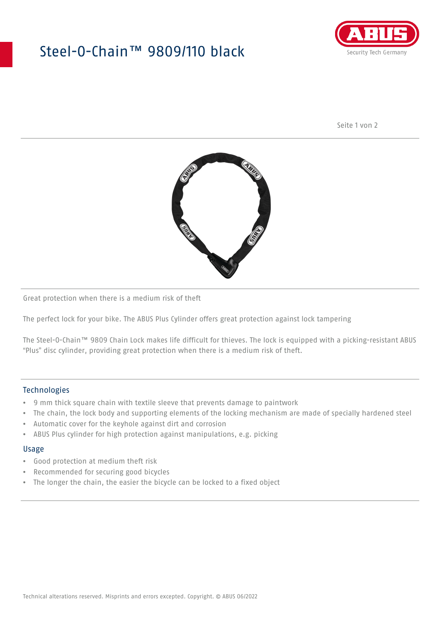## Steel-O-Chain™ 9809/110 black



Seite 1 von 2



Great protection when there is a medium risk of theft

The perfect lock for your bike. The ABUS Plus Cylinder offers great protection against lock tampering

The Steel-O-Chain™ 9809 Chain Lock makes life difficult for thieves. The lock is equipped with a picking-resistant ABUS "Plus" disc cylinder, providing great protection when there is a medium risk of theft.

#### Technologies

- 9 mm thick square chain with textile sleeve that prevents damage to paintwork
- The chain, the lock body and supporting elements of the locking mechanism are made of specially hardened steel
- Automatic cover for the keyhole against dirt and corrosion
- ABUS Plus cylinder for high protection against manipulations, e.g. picking

#### Usage

- Good protection at medium theft risk
- Recommended for securing good bicycles
- The longer the chain, the easier the bicycle can be locked to a fixed object